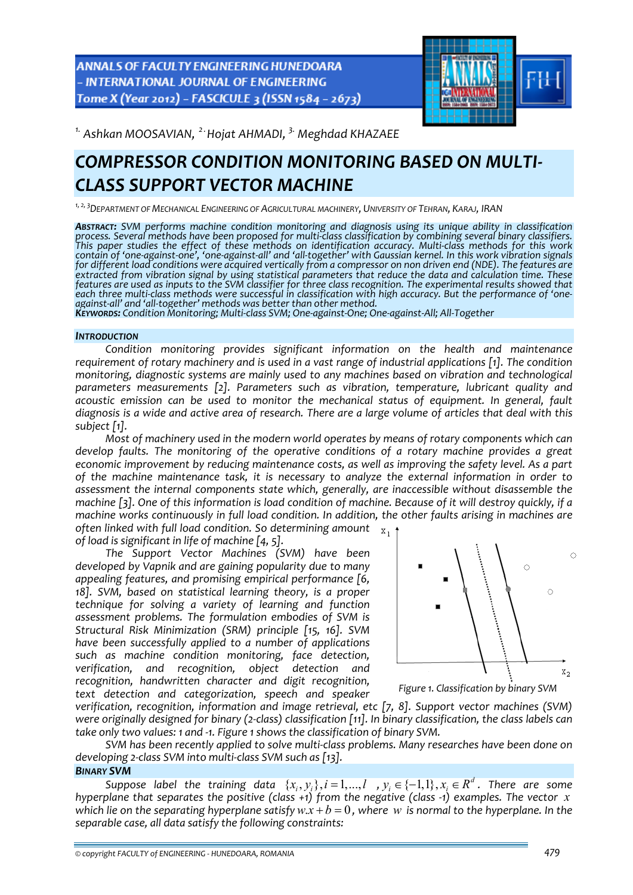ANNALS OF FACULTY ENGINEERING HUNEDOARA - INTERNATIONAL JOURNAL OF ENGINEERING Tome X (Year 2012) - FASCICULE 3 (ISSN 1584 - 2673)



*1. Ashkan MOOSAVIAN, 2 .Hojat AHMADI, 3. Meghdad KHAZAEE* 

# *COMPRESSOR CONDITION MONITORING BASED ON MULTI‐ CLASS SUPPORT VECTOR MACHINE*

*1, 2, 3 DEPARTMENT OF MECHANICAL ENGINEERING OF AGRICULTURAL MACHINERY, UNIVERSITY OF TEHRAN, KARAJ, IRAN*

*ABSTRACT: SVM performs machine condition monitoring and diagnosis using its unique ability in classification* process. Several methods have been proposed for multi-class classification by combining several binary classifiers.<br>This paper studies the effect of these methods on identification accuracy. Multi-class methods for this wo contain of 'one-against-one', 'one-against-all' and 'all-together' with Gaussian kernel. In this work vibration signals<br>for different load conditions were acquired vertically from a compressor on non driven end (NDE). The *extracted from vibration signal by using statistical parameters that reduce the data and calculation time. These* features are used as inputs to the SVM classifier for three class recognition. The experimental results showed that each three multi-class methods were successful in classification with high accuracy. But the performance of 'one-<br>against-all' and 'all-together' methods was better than other method.<br>Keyworps: Condition Monitoring: Multi-

#### *INTRODUCTION*

*Condition monitoring provides significant information on the health and maintenance requirement of rotary machinery and is used in a vast range of industrial applications [1]. The condition monitoring, diagnostic systems are mainly used to any machines based on vibration and technological parameters measurements [2]. Parameters such as vibration, temperature, lubricant quality and acoustic emission can be used to monitor the mechanical status of equipment. In general, fault* diagnosis is a wide and active area of research. There are a large volume of articles that deal with this *subject [1].* 

*Most of machinery used in the modern world operates by means of rotary components which can develop faults. The monitoring of the operative conditions of a rotary machine provides a great economic improvement by reducing maintenance costs, as well as improving the safety level. As a part of the machine maintenance task, it is necessary to analyze the external information in order to assessment the internal components state which, generally, are inaccessible without disassemble the* machine [3]. One of this information is load condition of machine. Because of it will destroy quickly, if a *machine works continuously in full load condition. In addition, the other faults arising in machines are often linked with full load condition. So determining amount*

*of load is significant in life of machine [4, 5].*

*The Support Vector Machines (SVM) have been developed by Vapnik and are gaining popularity due to many appealing features, and promising empirical performance [6, 18]. SVM, based on statistical learning theory, is a proper technique for solving a variety of learning and function assessment problems. The formulation embodies of SVM is Structural Risk Minimization (SRM) principle [15, 16]. SVM have been successfully applied to a number of applications such as machine condition monitoring, face detection, verification, and recognition, object detection and recognition, handwritten character and digit recognition, text detection and categorization, speech and speaker*



*verification, recognition, information and image retrieval, etc [7, 8]. Support vector machines (SVM)* were originally designed for binary (2-class) classification [11]. In binary classification, the class labels can *take only two values: 1 and ‐1. Figure 1 shows the classification of binary SVM.*

*SVM has been recently applied to solve multi‐class problems. Many researches have been done on developing 2‐class SVM into multi‐class SVM such as [13]. BINARY SVM*

## *Suppose* label the training data  $\{x_i, y_j\}, i=1,...,l$  ,  $y_i \in \{-1,1\}, x_i \in R^d$ . There are some *hyperplane that separates the positive (class +1) from the negative (class ‐1) examples. The vector x* which lie on the separating hyperplane satisfy  $w.x + b = 0$ , where w is normal to the hyperplane. In the *separable case, all data satisfy the following constraints:*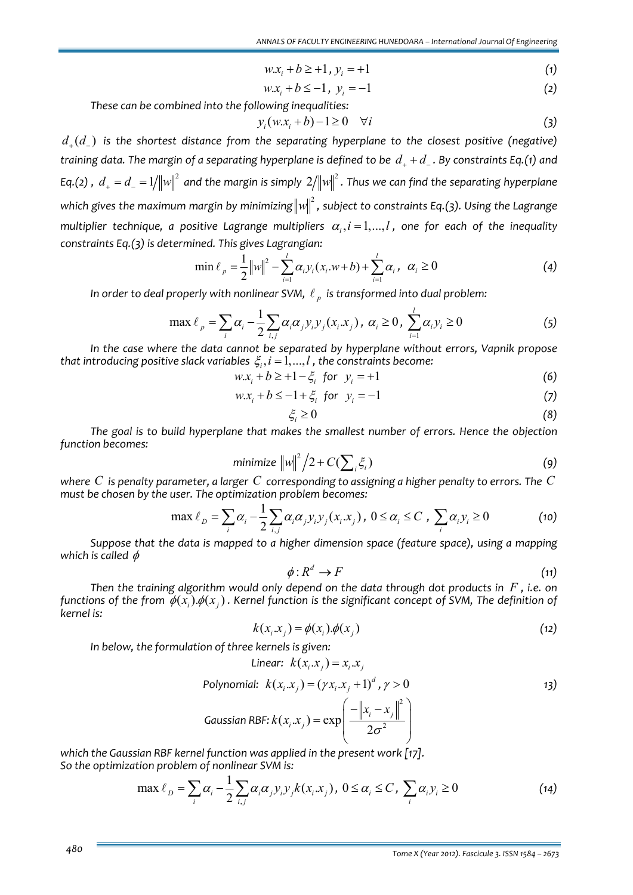$$
w.x_i + b \ge +1, y_i = +1
$$
 (1)

$$
w.x_i + b \le -1, \ y_i = -1 \tag{2}
$$

*These can be combined into the following inequalities:*

$$
y_i(w.x_i + b) - 1 \ge 0 \quad \forall i \tag{3}
$$

*d*<sub>→</sub> $(d_$ ) is the shortest distance from the separating hyperplane to the closest positive (negative) training data. The margin of a separating hyperplane is defined to be  $d_{+} + d_{-}$ . By constraints Eq.(1) and Eq.(2) ,  $d_+ = d_- = 1/ {\|w\|^2}$  and the margin is simply  $2/ {\|w\|^2}$  . Thus we can find the separating hyperplane  $\omega$  *which gives the maximum margin by minimizing* $\Vert w \Vert^2$  *, subject to constraints Eq.(3). Using the Lagrange multiplier technique, a positive Lagrange multipliers*  $\alpha_i$ ,  $i = 1,...,l$ , one for each of the *inequality constraints Eq.(3) is determined. This gives Lagrangian:*

$$
\min \ell_p = \frac{1}{2} ||w||^2 - \sum_{i=1}^{l} \alpha_i y_i (x_i \cdot w + b) + \sum_{i=1}^{l} \alpha_i, \ \alpha_i \ge 0
$$
 (4)

*In order to deal properly with nonlinear SVM,*  $\ell_n$  *is transformed into dual problem:* 

$$
\max \ell_{p} = \sum_{i} \alpha_{i} - \frac{1}{2} \sum_{i,j} \alpha_{i} \alpha_{j} y_{i} y_{j} (x_{i}.x_{j}), \ \alpha_{i} \ge 0, \ \sum_{i=1}^{l} \alpha_{i} y_{i} \ge 0 \tag{5}
$$

*In the case where the data cannot be separated by hyperplane without errors, Vapnik propose that introducing positive slack variables*  $\xi_i$ ,  $i = 1, ..., l$ , the *constraints become:* 

 $w.x_i + b \geq +1 - \xi_i$  for  $y_i = +1$  (6)

$$
w.x_i + b \le -1 + \xi_i \text{ for } y_i = -1 \tag{7}
$$

$$
\xi_i \ge 0 \tag{8}
$$

*The goal is to build hyperplane that makes the smallest number of errors. Hence the objection function becomes:* 

$$
\text{minimize } ||w||^2 / 2 + C(\sum_i \xi_i) \tag{9}
$$

where  $C$  is penalty parameter, a larger  $C$  corresponding to assigning a higher penalty to errors. The  $C$ *must be chosen by the user. The optimization problem becomes:*

$$
\max \ell_D = \sum_i \alpha_i - \frac{1}{2} \sum_{i,j} \alpha_i \alpha_j y_i y_j (x_i . x_j), \ 0 \le \alpha_i \le C \ , \ \sum_i \alpha_i y_i \ge 0 \tag{10}
$$

*Suppose that the data is mapped to a higher dimension space (feature space), using a mapping which is called*  $\phi$ 

$$
\phi: R^d \to F \tag{11}
$$

*Then the training algorithm would only depend on the data through dot products in F , i.e. on* functions of the from  $\phi(x_i)$ .  $\phi(x_i)$ . Kernel function is the significant concept of SVM, The definition of *kernel is:*

$$
k(x_i \cdot x_j) = \phi(x_i) \cdot \phi(x_j) \tag{12}
$$

*In below, the formulation of three kernels is given:*

Linear: 
$$
k(x_i \cdot x_j) = x_i \cdot x_j
$$

\nPolynomial:  $k(x_i \cdot x_j) = (\gamma x_i \cdot x_j + 1)^d$ ,  $\gamma > 0$ 

\nGaussian RBF:  $k(x_i \cdot x_j) = \exp\left(\frac{-\left\|x_i - x_j\right\|^2}{2\sigma^2}\right)$ 

*which the Gaussian RBF kernel function was applied in the present work [17]. So the optimization problem of nonlinear SVM is:*

$$
\max \ell_D = \sum_i \alpha_i - \frac{1}{2} \sum_{i,j} \alpha_i \alpha_j y_i y_j k(x_i.x_j), \ 0 \le \alpha_i \le C, \ \sum_i \alpha_i y_i \ge 0 \tag{14}
$$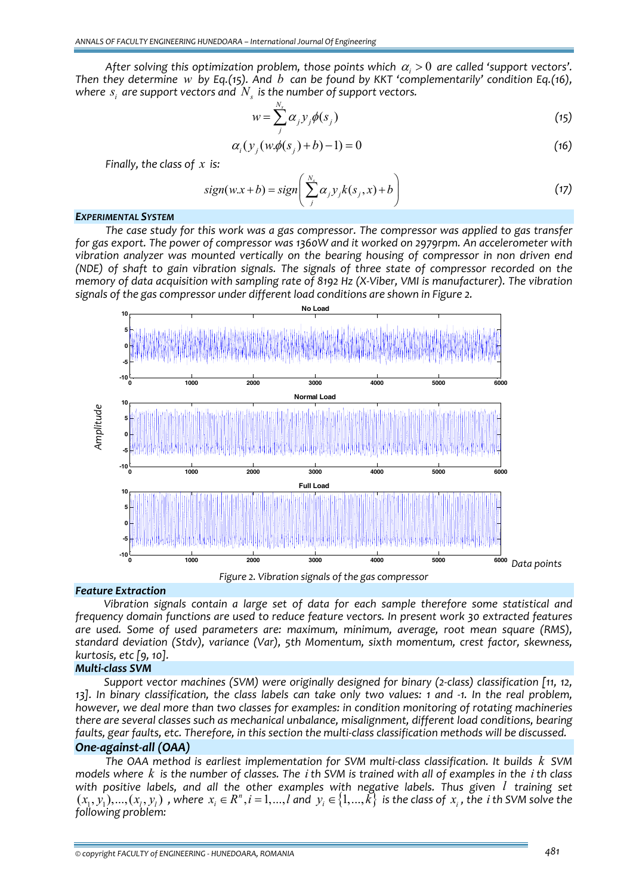*After* solving this optimization problem, those points which  $\alpha_i > 0$  are called 'support vectors'. *Then they determine w by Eq.(15). And b can be found by KKT 'complementarily' condition Eq.(16), where*  $s_i$  *are support vectors and*  $N_s$  *is the number of support vectors.* 

$$
w = \sum_{j}^{N_s} \alpha_j y_j \phi(s_j)
$$
 (15)

$$
\alpha_i(y_j(w.\phi(s_j)+b)-1) = 0 \tag{16}
$$

*Finally, the class of x is:*

$$
sign(w.x+b) = sign\left(\sum_{j}^{N_s} \alpha_j y_j k(s_j, x) + b\right)
$$
\n(17)

#### *EXPERIMENTAL SYSTEM*

*The case study for this work was a gas compressor. The compressor was applied to gas transfer for gas export. The power of compressor was 1360W and it worked on 2979rpm. An accelerometer with vibration analyzer was mounted vertically on the bearing housing of compressor in non driven end (NDE) of shaft to gain vibration signals. The signals of three state of compressor recorded on the* memory of data acquisition with sampling rate of 8192 Hz (X-Viber, VMI is manufacturer). The vibration *signals of the gas compressor under different load conditions are shown in Figure 2.*



#### *Feature Extraction*

*Vibration signals contain a large set of data for each sample therefore some statistical and frequency domain functions are used to reduce feature vectors. In present work 30 extracted features are used. Some of used parameters are: maximum, minimum, average, root mean square (RMS), standard deviation (Stdv), variance (Var), 5th Momentum, sixth momentum, crest factor, skewness, kurtosis, etc [9, 10].*

## *Multi‐class SVM*

*Support vector machines (SVM) were originally designed for binary (2‐class) classification [11, 12,* 13]. In binary classification, the class labels can take only two values: 1 and -1. In the real problem, *however, we deal more than two classes for examples: in condition monitoring of rotating machineries there are several classes such as mechanical unbalance, misalignment, different load conditions, bearing* faults, gear faults, etc. Therefore, in this section the multi-class classification methods will be discussed. *One‐against‐all (OAA)*

*The OAA method is earliest implementation for SVM multi‐class classification. It builds k SVM* models where  $k$  is the number of classes. The  $i$  th SVM is trained with all of examples in the  $i$  th class *with positive labels, and all the other examples with negative labels. Thus given l training set*  $(x_1,y_1),...,(x_l,y_l)$  , where  $x_i\in R^n, i=1,...,l$  and  $y_i\in\{1,...,\vec{k}\}$  is the class of  $x_i$  , the  $i$  th SVM solve the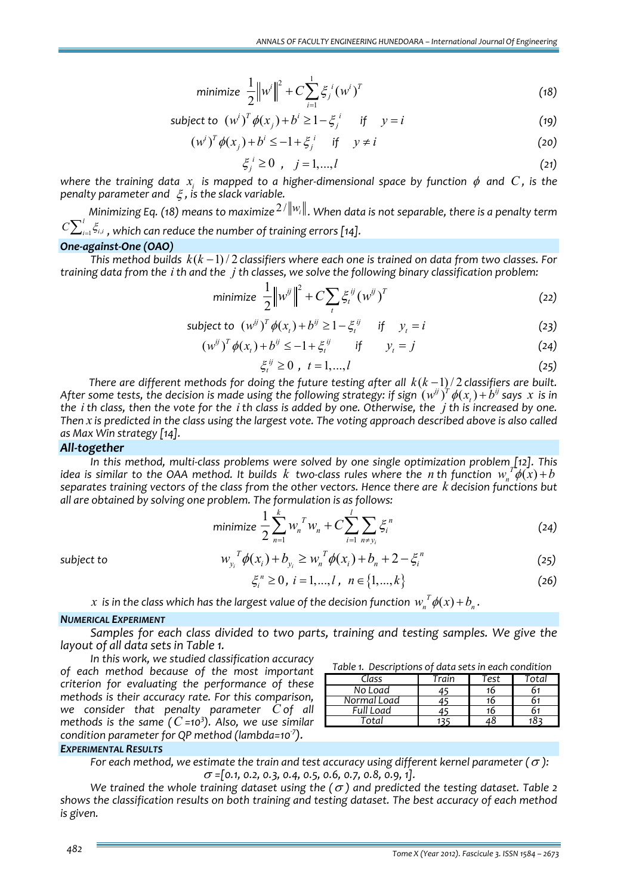minimize 
$$
\frac{1}{2} ||w^i||^2 + C \sum_{i=1}^1 \xi_i^i (w^i)^T
$$
 (18)

*subject to*  $(w^{i})^{T} \phi(x_{i}) + b^{i} \geq 1 - \xi_{i}^{i}$  *if*  $y = i$  (19)

$$
\left(w^{i}\right)^{T} \phi(x_{j}) + b^{i} \le -1 + \xi_{j}^{i} \quad \text{if} \quad y \ne i
$$

$$
\xi_j^i \ge 0 \quad , \quad j = 1, \dots, l \tag{21}
$$

where the training data  $x_i$  is mapped to a higher-dimensional space by function  $\phi$  and C, is the *penalty parameter and* ξ *, is the slack variable.*

*Minimizing Eq. (18) means to maximize* 2 / *wi . When data is not separable, there is <sup>a</sup> penalty term*  $_{1}$ وا $_{i}$  $C\sum_{i=1}^{l} \xi_{i,i}$  , which can reduce the number of training errors [14].

#### *One‐against‐One (OAO)*

*This* method builds  $k(k-1)/2$  classifiers where each one is trained on data from two classes. For training data from the  $i$  th and the  $j$  th classes, we solve the following binary classification problem:

$$
\text{minimize } \frac{1}{2} \left\| w^{ij} \right\|^2 + C \sum_{t} \xi_t^{ij} (w^{ij})^T \tag{22}
$$

subject to 
$$
(w^{ij})^T \phi(x_t) + b^{ij} \ge 1 - \xi_t^{ij}
$$
 if  $y_t = i$  (23)

$$
(w^{ij})^T \phi(x_t) + b^{ij} \le -1 + \xi_t^{ij} \qquad \text{if} \qquad y_t = j \tag{24}
$$

$$
\xi_i^{ij} \ge 0 \, , \, t = 1, \dots, l \tag{25}
$$

*There are different methods for doing the future testing after all*  $k(k-1)/2$  *classifiers are built.* After some tests, the decision is made using the following strategy: if sign  $(w^{ij})^T \phi(x_i) + b^{ij}$  says x is in the *i* th class, then the vote for the *i* th class is added by one. Otherwise, the  $i$  th is increased by one. Then x is predicted in the class using the largest vote. The voting approach described above is also called *as Max Win strategy [14].*

#### *All‐together*

*In this method, multi‐class problems were solved by one single optimization problem [12]. This* idea is similar to the OAA method. It builds k two-class rules where the *n* th function  $w_t^T \phi(x) + b$ *separates training vectors of the class from the other vectors. Hence there are k decision functions but all are obtained by solving one problem. The formulation is as follows:*

minimize 
$$
\frac{1}{2} \sum_{n=1}^{k} w_n^T w_n + C \sum_{i=1}^{l} \sum_{n \neq y_i} \xi_i^n
$$
 (24)

subject to 
$$
w_{y_i}^T \phi(x_i) + b_{y_i} \ge w_n^T \phi(x_i) + b_n + 2 - \xi_i^n
$$
 (25)

$$
\xi_i^n \ge 0, \ i = 1, ..., l, \ n \in \{1, ..., k\}
$$
 (26)

*x* is in the class which has the largest value of the decision function  $w_x^T \phi(x) + b_x$ .

#### *NUMERICAL EXPERIMENT*

*Samples for each class divided to two parts, training and testing samples. We give the layout of all data sets in Table 1.*

*In this work, we studied classification accuracy of each method because of the most important criterion for evaluating the performance of these methods is their accuracy rate. For this comparison, we consider that penalty parameter C of all methods is the same (C =10<sup>3</sup> ). Also, we use similar condition parameter for QP method (lambda=10‐<sup>7</sup> ).*

| Table 1. Descriptions of data sets in each condition |       |      |       |  |
|------------------------------------------------------|-------|------|-------|--|
| Class                                                | Train | Test | Total |  |
| No Load                                              |       | 16   |       |  |
| Normal Load                                          |       | 16   |       |  |
| Full Load                                            |       | 16   | 61    |  |
|                                                      |       |      |       |  |

### *EXPERIMENTAL RESULTS*

*For* each method, we estimate the train and test accuracy using different kernel parameter  $(\sigma)$ : <sup>σ</sup> *=[0.1, 0.2, 0.3, 0.4, 0.5, 0.6, 0.7, 0.8, 0.9, 1].*

*We trained the whole training dataset using the*  $(\sigma)$  *and predicted the testing dataset. Table* 2 *shows the classification results on both training and testing dataset. The best accuracy of each method is given.*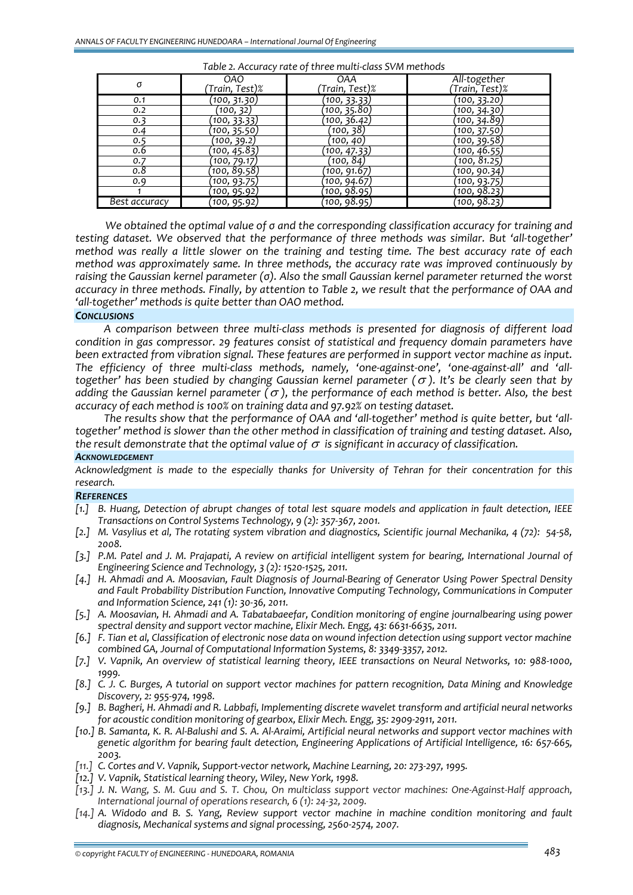| , abic E., iccaracy race of christiance class 3 co 0 |                             |                       |                               |  |
|------------------------------------------------------|-----------------------------|-----------------------|-------------------------------|--|
| σ                                                    | <b>OAO</b><br>Train, Test)% | OAA<br>Train, Test)%) | All-together<br>Train, Test)% |  |
| 0.1                                                  | (100, 31.30)                | (100, 33.33)          | (100, 33.20)                  |  |
| 0.2                                                  | (100, 32)                   | (100, 35.80)          | (100, 34.30)                  |  |
| 0.3                                                  | <u>(100, 33.33)</u>         | (100, 36.42)          | (100, 34.89)                  |  |
| 0.4                                                  | (100, 35.50                 | (100, 38)             | (100, 37.50)                  |  |
| 0.5                                                  | (100, 39.2)                 | (100, 40)             | (100, 39.58)                  |  |
| 0.6                                                  | (100, 45.83)                | (100, 47.33)          | (100, 46.55)                  |  |
| 0.7                                                  | (100, 79.17)                | (100, 84)             | (100, 81.25)                  |  |
| 0.8                                                  | (100, 89.58)                | (100, 91.67)          | (10 <u>0, 90.34)</u>          |  |
| 0.9                                                  | (100, 93.75)                | (100, 94.67)          | (100, 93.75)                  |  |
|                                                      | <u>(100, 95.92)</u>         | (100, 98.95)          | (100, 98.23)                  |  |
| Best accuracy                                        | (100, 95.92)                | (100, 98.95)          | (100, 98.23)                  |  |

*Table 2. Accuracy rate of three multi‐class SVM methods*

*We obtained the optimal value of σ and the corresponding classification accuracy for training and testing dataset. We observed that the performance of three methods was similar. But 'all‐together' method was really a little slower on the training and testing time. The best accuracy rate of each method was approximately same. In three methods, the accuracy rate was improved continuously by raising the Gaussian kernel parameter (σ). Also the small Gaussian kernel parameter returned the worst* accuracy in three methods. Finally, by attention to Table 2, we result that the performance of OAA and *'all‐together' methods is quite better than OAO method.*

#### *CONCLUSIONS*

*A comparison between three multi‐class methods is presented for diagnosis of different load condition in gas compressor. 29 features consist of statistical and frequency domain parameters have been extracted from vibration signal. These features are performed in support vector machine as input.* The efficiency of three multi-class methods, namely, 'one-against-one', 'one-against-all' and 'all*together' has been studied by changing Gaussian kernel parameter (*<sup>σ</sup> *). It's be clearly seen that by adding* the Gaussian kernel parameter  $(\sigma)$ , the performance of each method is better. Also, the best *accuracy of each method is 100% on training data and 97.92% on testing dataset.* 

The results show that the performance of OAA and 'all-together' method is quite better, but 'all*together' method is slower than the other method in classification of training and testing dataset. Also, the* result demonstrate that the optimal value of  $\sigma$  is significant in accuracy of classification.

#### *ACKNOWLEDGEMENT*

*Acknowledgment is made to the especially thanks for University of Tehran for their concentration for this research.*

#### *REFERENCES*

- [1.] B. Huang, Detection of abrupt changes of total lest square models and application in fault detection, IEEE *Transactions on Control Systems Technology, 9 (2): 357‐367, 2001.*
- [2.] M. Vasylius et al, The rotating system vibration and diagnostics, Scientific journal Mechanika, 4 (72): 54-58, *2008.*
- [3.] P.M. Patel and J. M. Prajapati, A review on artificial intelligent system for bearing, International Journal of *Engineering Science and Technology, 3 (2): 1520‐1525, 2011.*
- [4.] H. Ahmadi and A. Moosavian, Fault Diagnosis of Journal-Bearing of Generator Using Power Spectral Density *and Fault Probability Distribution Function, Innovative Computing Technology, Communications in Computer and Information Science, 241 (1): 30‐36, 2011.*
- *[5.] A. Moosavian, H. Ahmadi and A. Tabatabaeefar, Condition monitoring of engine journalbearing using power spectral density and support vector machine, Elixir Mech. Engg, 43: 6631‐6635, 2011.*
- [6.] F. Tian et al, Classification of electronic nose data on wound infection detection using support vector machine *combined GA, Journal of Computational Information Systems, 8: 3349‐3357, 2012.*
- [7.] V. Vapnik, An overview of statistical learning theory, IEEE transactions on Neural Networks, 10: 988-1000, *1999.*
- [8.] C. J. C. Burges, A tutorial on support vector machines for pattern recognition, Data Mining and Knowledge *Discovery, 2: 955‐974, 1998.*
- [9.] B. Bagheri, H. Ahmadi and R. Labbafi, Implementing discrete wavelet transform and artificial neural networks *for acoustic condition monitoring of gearbox, Elixir Mech. Engg, 35: 2909‐2911, 2011.*
- [10.] B. Samanta, K. R. Al-Balushi and S. A. Al-Araimi, Artificial neural networks and support vector machines with *genetic algorithm for bearing fault detection, Engineering Applications of Artificial Intelligence, 16: 657‐665, 2003.*
- *[11.] C. Cortes and V. Vapnik, Support‐vector network, Machine Learning, 20: 273‐297, 1995.*
- *[12.] V. Vapnik, Statistical learning theory, Wiley, New York, 1998.*
- [13.] J. N. Wang, S. M. Guu and S. T. Chou, On multiclass support vector machines: One-Against-Half approach, *International journal of operations research, 6 (1): 24‐32, 2009.*
- *[14.] A. Widodo and B. S. Yang, Review support vector machine in machine condition monitoring and fault diagnosis, Mechanical systems and signal processing, 2560‐2574, 2007.*